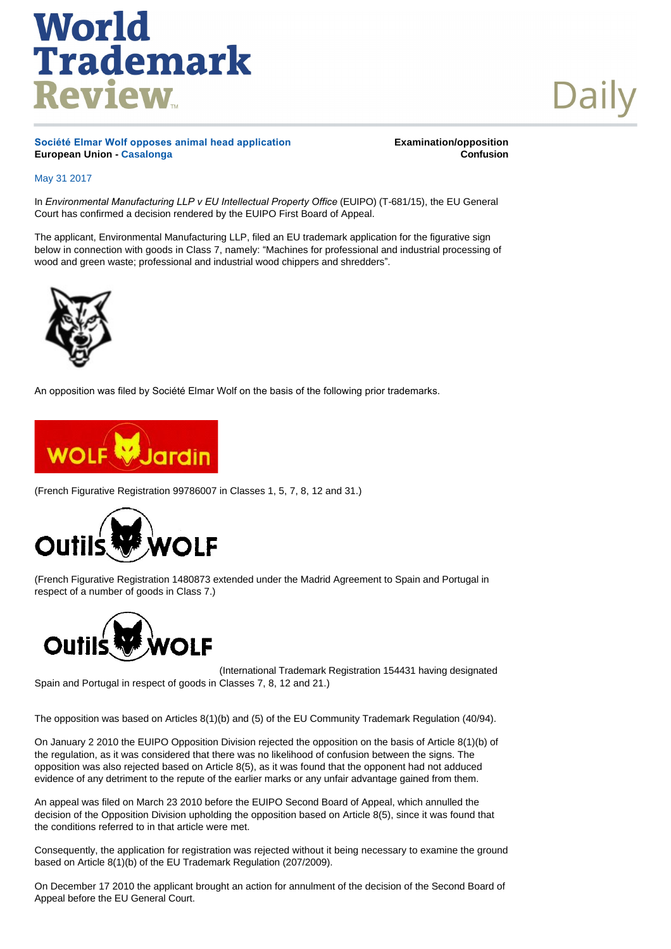Daily

**Société Elmar Wolf opposes animal head application European Union - [Casalonga](http://www.worldtrademarkreview.com/daily/Contributors.aspx#France)** 

**Examination/opposition Confusion**

### May 31 2017

In *Environmental Manufacturing LLP v EU Intellectual Property Office* (EUIPO) (T-681/15), the EU General Court has confirmed a decision rendered by the EUIPO First Board of Appeal.

The applicant, Environmental Manufacturing LLP, filed an EU trademark application for the figurative sign below in connection with goods in Class 7, namely: "Machines for professional and industrial processing of wood and green waste; professional and industrial wood chippers and shredders".



An opposition was filed by Société Elmar Wolf on the basis of the following prior trademarks.



(French Figurative Registration 99786007 in Classes 1, 5, 7, 8, 12 and 31.)



(French Figurative Registration 1480873 extended under the Madrid Agreement to Spain and Portugal in respect of a number of goods in Class 7.)



(International Trademark Registration 154431 having designated Spain and Portugal in respect of goods in Classes 7, 8, 12 and 21.)

The opposition was based on Articles 8(1)(b) and (5) of the EU Community Trademark Regulation (40/94).

On January 2 2010 the EUIPO Opposition Division rejected the opposition on the basis of Article 8(1)(b) of the regulation, as it was considered that there was no likelihood of confusion between the signs. The opposition was also rejected based on Article 8(5), as it was found that the opponent had not adduced evidence of any detriment to the repute of the earlier marks or any unfair advantage gained from them.

An appeal was filed on March 23 2010 before the EUIPO Second Board of Appeal, which annulled the decision of the Opposition Division upholding the opposition based on Article 8(5), since it was found that the conditions referred to in that article were met.

Consequently, the application for registration was rejected without it being necessary to examine the ground based on Article 8(1)(b) of the EU Trademark Regulation (207/2009).

On December 17 2010 the applicant brought an action for annulment of the decision of the Second Board of Appeal before the EU General Court.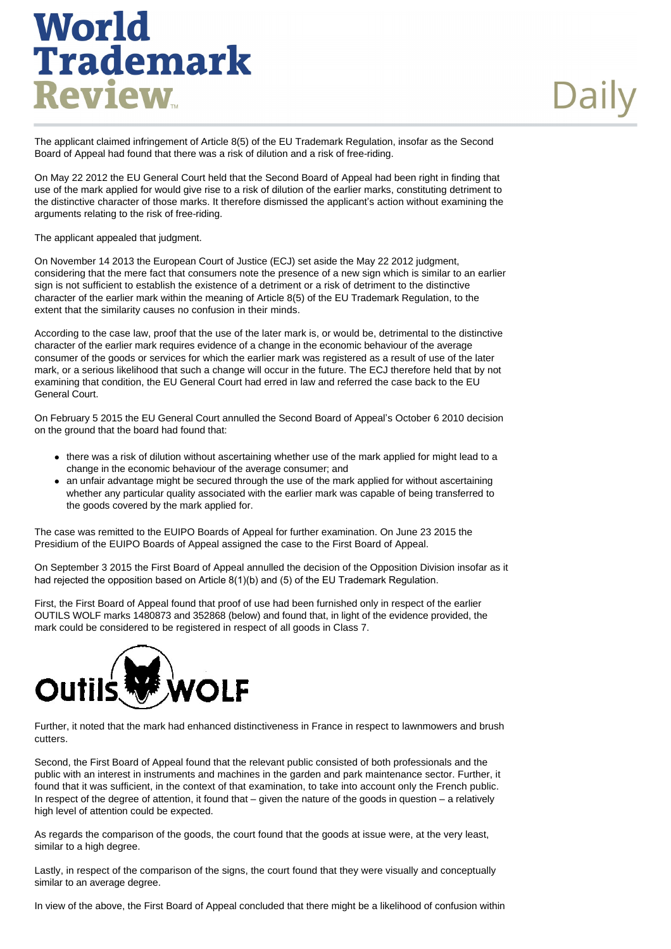The applicant claimed infringement of Article 8(5) of the EU Trademark Regulation, insofar as the Second Board of Appeal had found that there was a risk of dilution and a risk of free-riding.

On May 22 2012 the EU General Court held that the Second Board of Appeal had been right in finding that use of the mark applied for would give rise to a risk of dilution of the earlier marks, constituting detriment to the distinctive character of those marks. It therefore dismissed the applicant's action without examining the arguments relating to the risk of free-riding.

The applicant appealed that judgment.

On November 14 2013 the European Court of Justice (ECJ) set aside the May 22 2012 judgment, considering that the mere fact that consumers note the presence of a new sign which is similar to an earlier sign is not sufficient to establish the existence of a detriment or a risk of detriment to the distinctive character of the earlier mark within the meaning of Article 8(5) of the EU Trademark Regulation, to the extent that the similarity causes no confusion in their minds.

According to the case law, proof that the use of the later mark is, or would be, detrimental to the distinctive character of the earlier mark requires evidence of a change in the economic behaviour of the average consumer of the goods or services for which the earlier mark was registered as a result of use of the later mark, or a serious likelihood that such a change will occur in the future. The ECJ therefore held that by not examining that condition, the EU General Court had erred in law and referred the case back to the EU General Court.

On February 5 2015 the EU General Court annulled the Second Board of Appeal's October 6 2010 decision on the ground that the board had found that:

- there was a risk of dilution without ascertaining whether use of the mark applied for might lead to a change in the economic behaviour of the average consumer; and
- an unfair advantage might be secured through the use of the mark applied for without ascertaining whether any particular quality associated with the earlier mark was capable of being transferred to the goods covered by the mark applied for.

The case was remitted to the EUIPO Boards of Appeal for further examination. On June 23 2015 the Presidium of the EUIPO Boards of Appeal assigned the case to the First Board of Appeal.

On September 3 2015 the First Board of Appeal annulled the decision of the Opposition Division insofar as it had rejected the opposition based on Article 8(1)(b) and (5) of the EU Trademark Regulation.

First, the First Board of Appeal found that proof of use had been furnished only in respect of the earlier OUTILS WOLF marks 1480873 and 352868 (below) and found that, in light of the evidence provided, the mark could be considered to be registered in respect of all goods in Class 7.



Further, it noted that the mark had enhanced distinctiveness in France in respect to lawnmowers and brush cutters.

Second, the First Board of Appeal found that the relevant public consisted of both professionals and the public with an interest in instruments and machines in the garden and park maintenance sector. Further, it found that it was sufficient, in the context of that examination, to take into account only the French public. In respect of the degree of attention, it found that – given the nature of the goods in question – a relatively high level of attention could be expected.

As regards the comparison of the goods, the court found that the goods at issue were, at the very least, similar to a high degree.

Lastly, in respect of the comparison of the signs, the court found that they were visually and conceptually similar to an average degree.

In view of the above, the First Board of Appeal concluded that there might be a likelihood of confusion within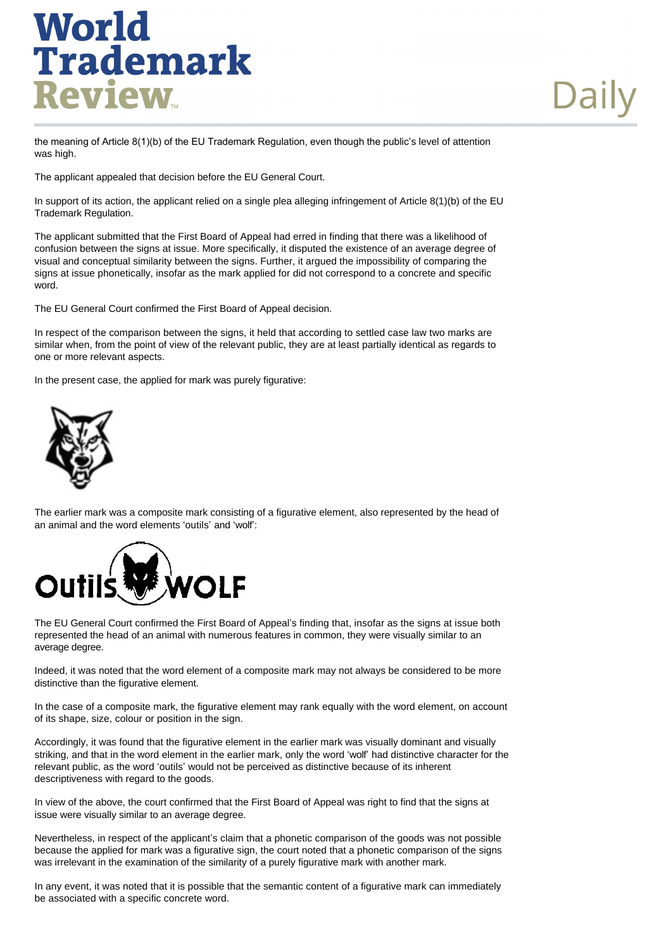the meaning of Article 8(1)(b) of the EU Trademark Regulation, even though the public's level of attention was high.

The applicant appealed that decision before the EU General Court.

In support of its action, the applicant relied on a single plea alleging infringement of Article 8(1)(b) of the EU Trademark Regulation.

The applicant submitted that the First Board of Appeal had erred in finding that there was a likelihood of confusion between the signs at issue. More specifically, it disputed the existence of an average degree of visual and conceptual similarity between the signs. Further, it argued the impossibility of comparing the signs at issue phonetically, insofar as the mark applied for did not correspond to a concrete and specific word.

The EU General Court confirmed the First Board of Appeal decision.

In respect of the comparison between the signs, it held that according to settled case law two marks are similar when, from the point of view of the relevant public, they are at least partially identical as regards to one or more relevant aspects.

In the present case, the applied for mark was purely figurative:



The earlier mark was a composite mark consisting of a figurative element, also represented by the head of an animal and the word elements 'outils' and 'wolf':



The EU General Court confirmed the First Board of Appeal's finding that, insofar as the signs at issue both represented the head of an animal with numerous features in common, they were visually similar to an average degree.

Indeed, it was noted that the word element of a composite mark may not always be considered to be more distinctive than the figurative element.

In the case of a composite mark, the figurative element may rank equally with the word element, on account of its shape, size, colour or position in the sign.

Accordingly, it was found that the figurative element in the earlier mark was visually dominant and visually striking, and that in the word element in the earlier mark, only the word 'wolf' had distinctive character for the relevant public, as the word 'outils' would not be perceived as distinctive because of its inherent descriptiveness with regard to the goods.

In view of the above, the court confirmed that the First Board of Appeal was right to find that the signs at issue were visually similar to an average degree.

Nevertheless, in respect of the applicant's claim that a phonetic comparison of the goods was not possible because the applied for mark was a figurative sign, the court noted that a phonetic comparison of the signs was irrelevant in the examination of the similarity of a purely figurative mark with another mark.

In any event, it was noted that it is possible that the semantic content of a figurative mark can immediately be associated with a specific concrete word.